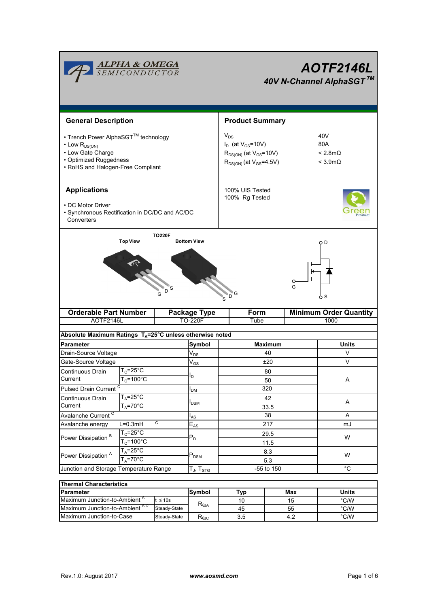| <b>ALPHA &amp; OMEGA</b><br>SEMICONDUCTOR                                                                                                           |                       |  |                               | <b>AOTF2146L</b><br>40V N-Channel AlphaSGT™                                                                 |                                                       |                   |  |
|-----------------------------------------------------------------------------------------------------------------------------------------------------|-----------------------|--|-------------------------------|-------------------------------------------------------------------------------------------------------------|-------------------------------------------------------|-------------------|--|
| <b>General Description</b>                                                                                                                          |                       |  |                               | <b>Product Summary</b>                                                                                      |                                                       |                   |  |
| • Trench Power AlphaSGT™ technology<br>$\cdot$ Low $R_{DS(ON)}$<br>• Low Gate Charge<br>• Optimized Ruggedness<br>• RoHS and Halogen-Free Compliant |                       |  |                               | $V_{DS}$<br>$I_D$ (at $V_{GS}$ =10V)<br>$R_{DS(ON)}$ (at $V_{GS}$ =10V)<br>$R_{DS(ON)}$ (at $V_{GS}$ =4.5V) | 40V<br>80A<br>$< 2.8$ m $\Omega$<br>$<$ 3.9m $\Omega$ |                   |  |
| <b>Applications</b><br>• DC Motor Driver<br>· Synchronous Rectification in DC/DC and AC/DC<br>Converters                                            |                       |  |                               | 100% UIS Tested<br>100% Rg Tested                                                                           |                                                       |                   |  |
| <b>TO220F</b><br><b>Top View</b><br><b>Bottom View</b><br>S<br>D.                                                                                   |                       |  |                               | G<br>D ٰ                                                                                                    | G                                                     | ΟD<br>o s         |  |
| <b>Orderable Part Number</b>                                                                                                                        |                       |  | Package Type                  | <b>Form</b>                                                                                                 | <b>Minimum Order Quantity</b>                         |                   |  |
| AOTF2146L                                                                                                                                           |                       |  | <b>TO-220F</b><br>Tube        |                                                                                                             | 1000                                                  |                   |  |
| Absolute Maximum Ratings T <sub>A</sub> =25°C unless otherwise noted                                                                                |                       |  |                               |                                                                                                             |                                                       |                   |  |
| <b>Parameter</b>                                                                                                                                    |                       |  | Symbol                        | <b>Maximum</b>                                                                                              |                                                       | Units             |  |
| Drain-Source Voltage                                                                                                                                |                       |  | $V_{DS}$                      | 40                                                                                                          |                                                       | V                 |  |
| Gate-Source Voltage                                                                                                                                 |                       |  | $\mathsf{V}_{\mathsf{GS}}$    | ±20                                                                                                         |                                                       | V                 |  |
| Continuous Drain                                                                                                                                    | $T_c = 25^\circ C$    |  |                               | 80                                                                                                          |                                                       |                   |  |
| Current                                                                                                                                             | $T_c$ =100°C          |  | lD.                           | 50                                                                                                          |                                                       | Α                 |  |
| Pulsed Drain Current <sup>C</sup>                                                                                                                   |                       |  | $I_{DM}$                      | 320                                                                                                         |                                                       |                   |  |
| Continuous Drain                                                                                                                                    | $T_A = 25^\circ C$    |  |                               | 42                                                                                                          |                                                       |                   |  |
| Current                                                                                                                                             | $T_A = 70^\circ C$    |  | <b>I</b> <sub>DSM</sub>       | 33.5                                                                                                        |                                                       | A                 |  |
| Avalanche Current <sup>C</sup>                                                                                                                      |                       |  | $I_{AS}$                      | 38                                                                                                          | Α                                                     |                   |  |
| C<br>$L=0.3mH$<br>Avalanche energy                                                                                                                  |                       |  | $E_{AS}$                      | 217                                                                                                         |                                                       | mJ                |  |
|                                                                                                                                                     | $T_c = 25$ °C         |  |                               | 29.5                                                                                                        |                                                       | W                 |  |
| Power Dissipation <sup>B</sup>                                                                                                                      | $T_c = 100^{\circ}$ C |  | $P_D$                         | 11.5                                                                                                        |                                                       |                   |  |
|                                                                                                                                                     | $T_A = 25^\circ C$    |  |                               | 8.3                                                                                                         |                                                       |                   |  |
| Power Dissipation <sup>A</sup>                                                                                                                      | $T_A = 70^\circ C$    |  | $P_{DSM}$                     | 5.3                                                                                                         |                                                       | W                 |  |
| Junction and Storage Temperature Range                                                                                                              |                       |  | T $_{\sf J}$ , T $_{\sf STG}$ | -55 to 150                                                                                                  |                                                       | $^{\circ}{\rm C}$ |  |
|                                                                                                                                                     |                       |  |                               |                                                                                                             |                                                       |                   |  |
| <b>Thermal Characteristics</b>                                                                                                                      |                       |  |                               |                                                                                                             |                                                       |                   |  |

| Thermal Characteristics                  |              |                                                    |     |       |               |  |  |  |
|------------------------------------------|--------------|----------------------------------------------------|-----|-------|---------------|--|--|--|
| <b>Parameter</b>                         | Symbol       | Tvo                                                | Max | Units |               |  |  |  |
| Maximum Junction-to-Ambient <sup>"</sup> | $\leq 10s$   |                                                    | 10  | 15    | $\degree$ C/W |  |  |  |
| Maximum Junction-to-Ambient AD           | Steady-State | $R_{\theta$ JA                                     | 45  | 55    | °C/W          |  |  |  |
| Maximum Junction-to-Case                 | Steady-State | $\mathsf{R}_{\scriptscriptstyle\theta\mathsf{JC}}$ | 3.5 |       | $\degree$ C/W |  |  |  |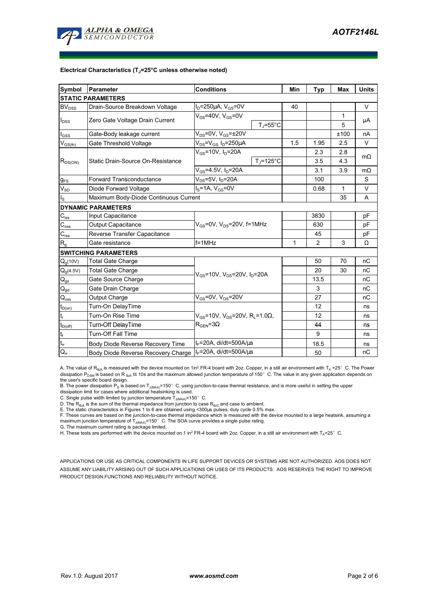

#### **Electrical Characteristics (TJ=25°C unless otherwise noted)**

| Symbol                                   | Parameter                             | <b>Conditions</b>                                                                                  | Min                  | <b>Typ</b>   | <b>Max</b>     | <b>Units</b> |           |
|------------------------------------------|---------------------------------------|----------------------------------------------------------------------------------------------------|----------------------|--------------|----------------|--------------|-----------|
|                                          | <b>STATIC PARAMETERS</b>              |                                                                                                    |                      |              |                |              |           |
| <b>BV</b> <sub>DSS</sub>                 | Drain-Source Breakdown Voltage        | $I_D = 250 \mu A$ , $V_{GS} = 0V$                                                                  |                      | 40           |                |              | V         |
| $I_{\text{DSS}}$                         | Zero Gate Voltage Drain Current       | $V_{DS}$ =40V, $V_{GS}$ =0V                                                                        |                      |              |                | 1            |           |
|                                          |                                       |                                                                                                    | $T_{\rm J}$ =55°C    |              |                | 5            | μA        |
| $I_{GSS}$                                | Gate-Body leakage current             | $V_{DS}$ =0V, $V_{GS}$ = $\pm$ 20V                                                                 |                      |              |                | ±100         | nA        |
| $V_{\text{GS(th)}}$                      | Gate Threshold Voltage                | $V_{DS}$ = $V_{GS}$ , I <sub>D</sub> =250µA                                                        |                      | 1.5          | 1.95           | 2.5          | V         |
| $R_{DS(ON)}$                             |                                       | $V_{GS}$ =10V, $I_D$ =20A                                                                          |                      |              | 2.3            | 2.8          | $m\Omega$ |
|                                          | Static Drain-Source On-Resistance     |                                                                                                    | $T_i = 125^{\circ}C$ |              | 3.5            | 4.3          |           |
|                                          |                                       | $V_{GS} = 4.5V, I_D = 20A$                                                                         |                      |              | 3.1            | 3.9          | $m\Omega$ |
| $g_{FS}$                                 | <b>Forward Transconductance</b>       | $V_{DS}$ =5V, I <sub>D</sub> =20A                                                                  |                      | 100          |                | S            |           |
| $\overline{V}_{\underline{\textrm{SD}}}$ | Diode Forward Voltage                 | $I_S = 1A$ , $V_{GS} = 0V$                                                                         |                      | 0.68         | 1              | V            |           |
| $I_{\rm S}$                              | Maximum Body-Diode Continuous Current |                                                                                                    |                      | 35           | A              |              |           |
|                                          | <b>DYNAMIC PARAMETERS</b>             |                                                                                                    |                      |              |                |              |           |
| $C_{iss}$                                | Input Capacitance                     |                                                                                                    |                      | 3830         |                | pF           |           |
| $C_{\underline{\textrm{oss}}}$           | Output Capacitance                    | $V_{GS}$ =0V, $V_{DS}$ =20V, f=1MHz                                                                |                      |              | 630            |              | рF        |
| $C_{\text{rss}}$                         | Reverse Transfer Capacitance          |                                                                                                    |                      | 45           |                | рF           |           |
| R <sub>g</sub>                           | Gate resistance                       | $f = 1$ MHz                                                                                        |                      | $\mathbf{1}$ | $\overline{2}$ | 3            | Ω         |
|                                          | <b>SWITCHING PARAMETERS</b>           |                                                                                                    |                      |              |                |              |           |
| $Q_g(10V)$                               | <b>Total Gate Charge</b>              | $V_{GS}$ =10V, $V_{DS}$ =20V, $I_D$ =20A                                                           |                      |              | 50             | 70           | nC        |
| $Q_q(4.5V)$                              | <b>Total Gate Charge</b>              |                                                                                                    |                      |              | 20             | 30           | пC        |
| $Q_{gs}$                                 | Gate Source Charge                    |                                                                                                    |                      |              | 13.5           |              | nC        |
| $\mathsf{Q}_{\underline{\mathsf{gd}}}$   | Gate Drain Charge                     |                                                                                                    |                      | 3            |                | пC           |           |
| $\mathsf{Q}_{\underline{\mathsf{oss}}}$  | Output Charge                         | $V_{GS}$ =0V, $V_{DS}$ =20V                                                                        |                      |              | 27             |              | nC        |
| $t_{D(0n)}$                              | Turn-On DelayTime                     | $V_{\rm GS}$ =10V, $V_{\rm DS}$ =20V, R <sub>1</sub> =1.0 $\Omega$ ,<br>$R_{\text{GEN}} = 3\Omega$ |                      |              | 12             |              | ns        |
| $\mathsf{t}_{\mathsf{r}}$                | Turn-On Rise Time                     |                                                                                                    |                      |              | 12             |              | ns        |
| $t_{D(off)}$                             | Turn-Off DelayTime                    |                                                                                                    |                      |              | 44             |              | ns        |
|                                          | Turn-Off Fall Time                    |                                                                                                    |                      |              | 9              |              | ns        |
| $\frac{t_f}{t_{rr}}$                     | Body Diode Reverse Recovery Time      | $I_F$ =20A, di/dt=500A/ $\mu$ s                                                                    |                      |              | 18.5           |              | ns        |
| $Q_{rr}$                                 | Body Diode Reverse Recovery Charge    | $I_F$ =20A, di/dt=500A/ $\mu$ s                                                                    |                      |              | 50             |              | nC        |

A. The value of R<sub>BJA</sub> is measured with the device mounted on 1in<sup>2</sup> FR-4 board with 2oz. Copper, in a still air environment with T<sub>A</sub> =25° C. The Power dissipation P<sub>DSM</sub> is based on R <sub>θJA</sub> t≤ 10s and the maximum allowed junction temperature of 150°C. The value in any given application depends on the user's specific board design.

B. The power dissipation P<sub>D</sub> is based on T<sub>J(MAX)</sub>=150°C, using junction-to-case thermal resistance, and is more useful in setting the upper

dissipation limit for cases where additional heatsinking is used.

C. Single pulse width limited by junction temperature  $\bar{T}_{J(MAX)}$ =150°C.

D. The  $R_{\theta JA}$  is the sum of the thermal impedance from junction to case  $R_{\theta JC}$  and case to ambient.

E. The static characteristics in Figures 1 to 6 are obtained using <300µs pulses, duty cycle 0.5% max.<br>F. These curves are based on the junction-to-case thermal impedance which is measured with the device mounted to a lar maximum junction temperature of T<sub>J(MAX)</sub>=150°C. The SOA curve provides a single pulse rating.

G. The maximum current rating is package limited.

H. These tests are performed with the device mounted on 1 in<sup>2</sup> FR-4 board with 2oz. Copper, in a still air environment with T<sub>A</sub>=25°C.

APPLICATIONS OR USE AS CRITICAL COMPONENTS IN LIFE SUPPORT DEVICES OR SYSTEMS ARE NOT AUTHORIZED. AOS DOES NOT ASSUME ANY LIABILITY ARISING OUT OF SUCH APPLICATIONS OR USES OF ITS PRODUCTS. AOS RESERVES THE RIGHT TO IMPROVE PRODUCT DESIGN,FUNCTIONS AND RELIABILITY WITHOUT NOTICE.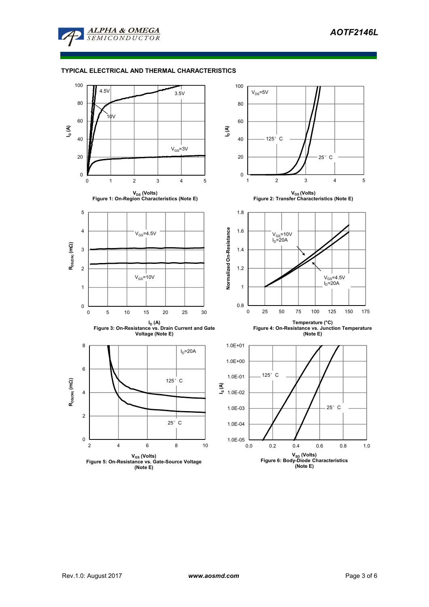

# **TYPICAL ELECTRICAL AND THERMAL CHARACTERISTICS**

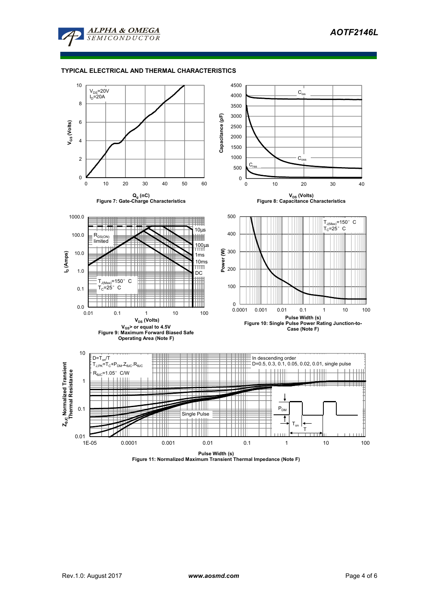

# **TYPICAL ELECTRICAL AND THERMAL CHARACTERISTICS**



**Pulse Width (s) Figure 11: Normalized Maximum Transient Thermal Impedance (Note F)**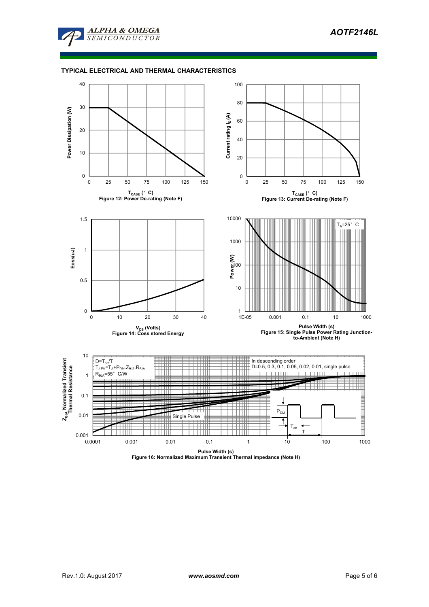

## **TYPICAL ELECTRICAL AND THERMAL CHARACTERISTICS**



**Pulse Width (s) Figure 16: Normalized Maximum Transient Thermal Impedance (Note H)**